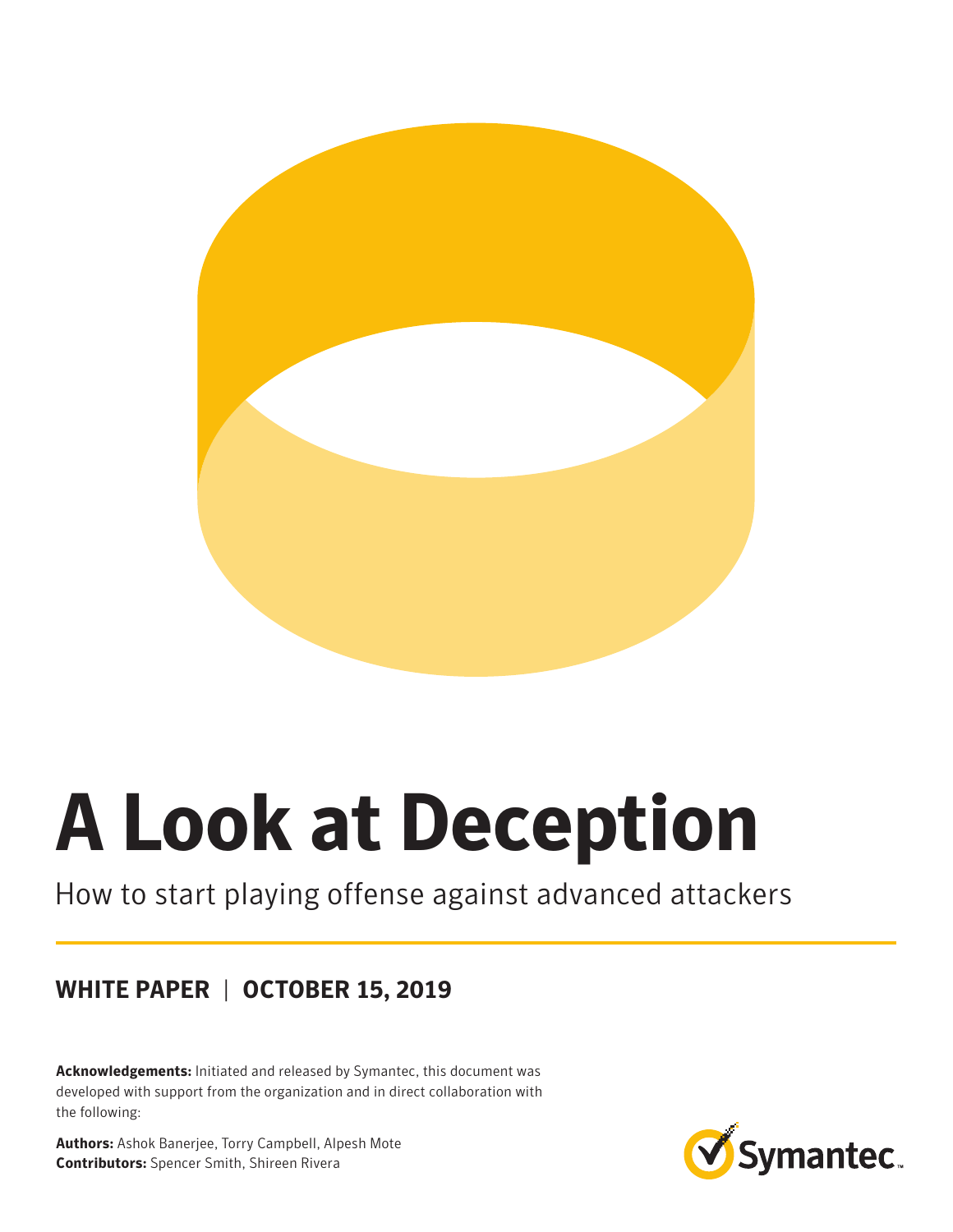

# **A Look at Deception**

## How to start playing offense against advanced attackers

## **WHITE PAPER** | **OCTOBER 15, 2019**

**Acknowledgements:** Initiated and released by Symantec, this document was developed with support from the organization and in direct collaboration with the following:

**Authors:** Ashok Banerjee, Torry Campbell, Alpesh Mote **Contributors:** Spencer Smith, Shireen Rivera

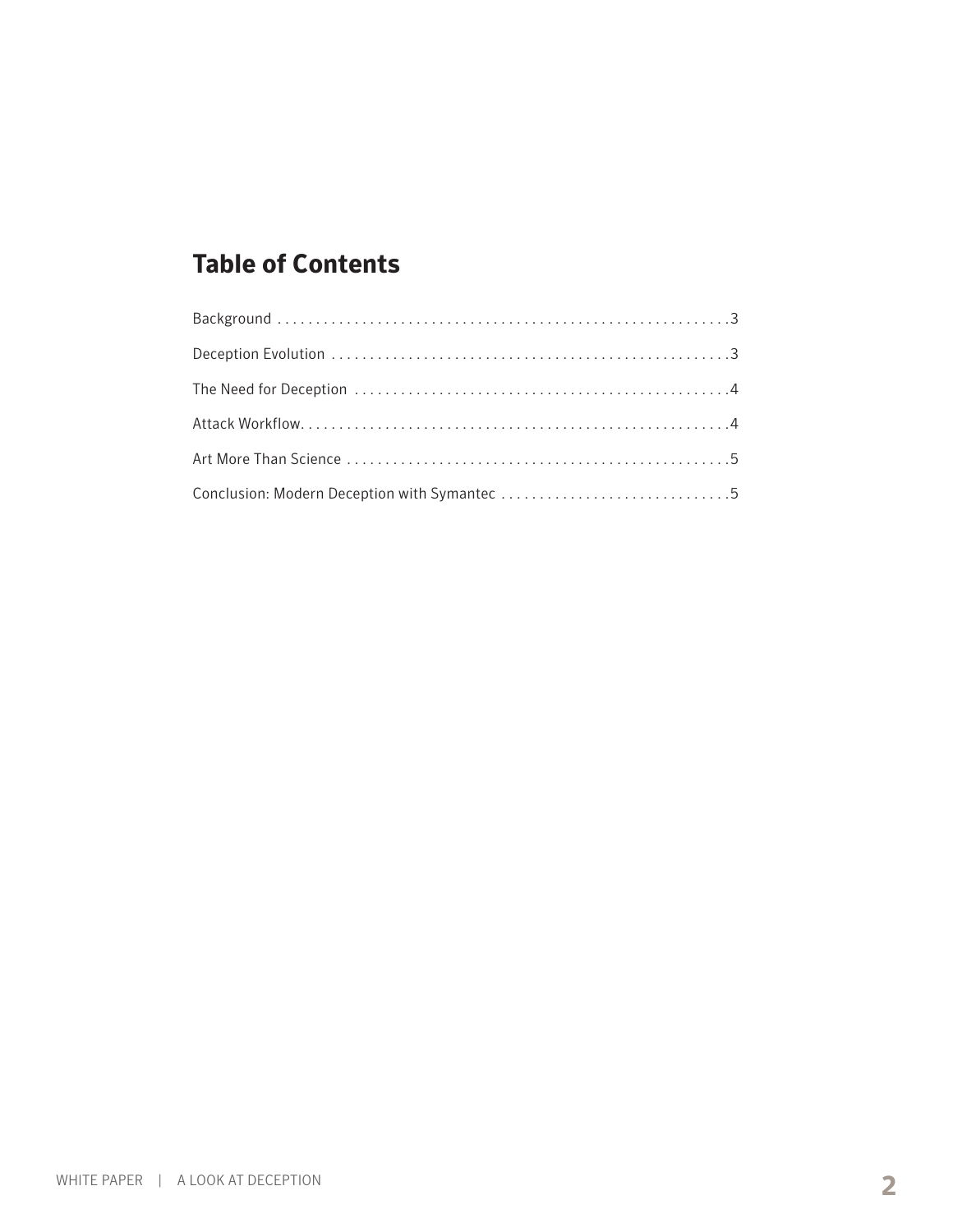## **Table of Contents**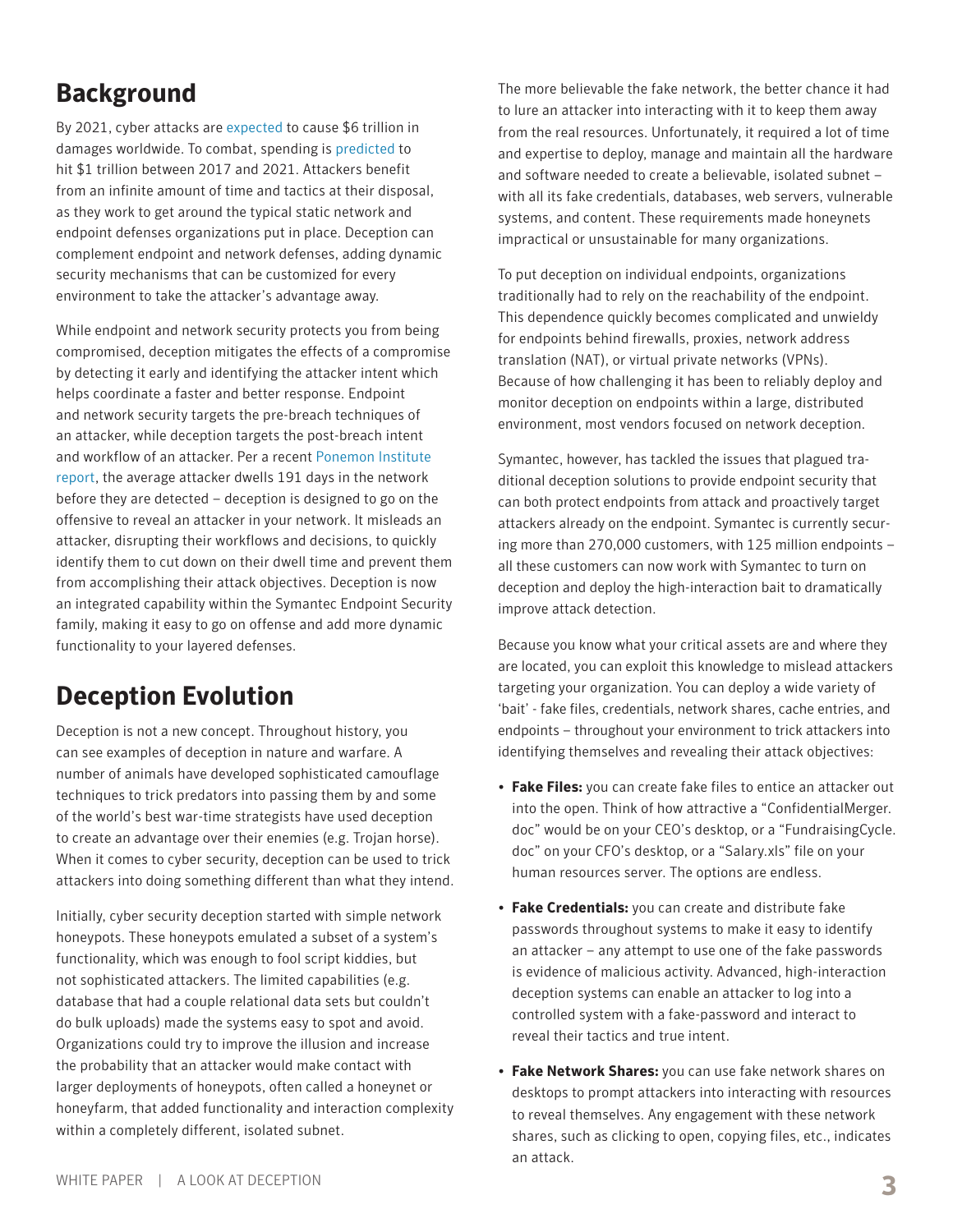## **Background**

By 2021, cyber attacks are [expected](https://cybersecurityventures.com/hackerpocalypse-cybercrime-report-2016/) to cause \$6 trillion in damages worldwide. To combat, spending is [predicted](http://www.csoonline.com/article/3083798/security/cybersecurity-spending-outlook-1-trillion-from-2017-to-2021.html) to hit \$1 trillion between 2017 and 2021. Attackers benefit from an infinite amount of time and tactics at their disposal, as they work to get around the typical static network and endpoint defenses organizations put in place. Deception can complement endpoint and network defenses, adding dynamic security mechanisms that can be customized for every environment to take the attacker's advantage away.

While endpoint and network security protects you from being compromised, deception mitigates the effects of a compromise by detecting it early and identifying the attacker intent which helps coordinate a faster and better response. Endpoint and network security targets the pre-breach techniques of an attacker, while deception targets the post-breach intent and workflow of an attacker. Per a recent [Ponemon Institute](http://info.resilientsystems.com/hubfs/IBM_Resilient_Branded_Content/White_Papers/2017_Global_CODB_Report_Final.pdf)  [report](http://info.resilientsystems.com/hubfs/IBM_Resilient_Branded_Content/White_Papers/2017_Global_CODB_Report_Final.pdf), the average attacker dwells 191 days in the network before they are detected – deception is designed to go on the offensive to reveal an attacker in your network. It misleads an attacker, disrupting their workflows and decisions, to quickly identify them to cut down on their dwell time and prevent them from accomplishing their attack objectives. Deception is now an integrated capability within the Symantec Endpoint Security family, making it easy to go on offense and add more dynamic functionality to your layered defenses.

## **Deception Evolution**

Deception is not a new concept. Throughout history, you can see examples of deception in nature and warfare. A number of animals have developed sophisticated camouflage techniques to trick predators into passing them by and some of the world's best war-time strategists have used deception to create an advantage over their enemies (e.g. Trojan horse). When it comes to cyber security, deception can be used to trick attackers into doing something different than what they intend.

Initially, cyber security deception started with simple network honeypots. These honeypots emulated a subset of a system's functionality, which was enough to fool script kiddies, but not sophisticated attackers. The limited capabilities (e.g. database that had a couple relational data sets but couldn't do bulk uploads) made the systems easy to spot and avoid. Organizations could try to improve the illusion and increase the probability that an attacker would make contact with larger deployments of honeypots, often called a honeynet or honeyfarm, that added functionality and interaction complexity within a completely different, isolated subnet.

The more believable the fake network, the better chance it had to lure an attacker into interacting with it to keep them away from the real resources. Unfortunately, it required a lot of time and expertise to deploy, manage and maintain all the hardware and software needed to create a believable, isolated subnet – with all its fake credentials, databases, web servers, vulnerable systems, and content. These requirements made honeynets impractical or unsustainable for many organizations.

To put deception on individual endpoints, organizations traditionally had to rely on the reachability of the endpoint. This dependence quickly becomes complicated and unwieldy for endpoints behind firewalls, proxies, network address translation (NAT), or virtual private networks (VPNs). Because of how challenging it has been to reliably deploy and monitor deception on endpoints within a large, distributed environment, most vendors focused on network deception.

Symantec, however, has tackled the issues that plagued traditional deception solutions to provide endpoint security that can both protect endpoints from attack and proactively target attackers already on the endpoint. Symantec is currently securing more than 270,000 customers, with 125 million endpoints – all these customers can now work with Symantec to turn on deception and deploy the high-interaction bait to dramatically improve attack detection.

Because you know what your critical assets are and where they are located, you can exploit this knowledge to mislead attackers targeting your organization. You can deploy a wide variety of 'bait' - fake files, credentials, network shares, cache entries, and endpoints – throughout your environment to trick attackers into identifying themselves and revealing their attack objectives:

- **Fake Files:** you can create fake files to entice an attacker out into the open. Think of how attractive a "ConfidentialMerger. doc" would be on your CEO's desktop, or a "FundraisingCycle. doc" on your CFO's desktop, or a "Salary.xls" file on your human resources server. The options are endless.
- **Fake Credentials:** you can create and distribute fake passwords throughout systems to make it easy to identify an attacker – any attempt to use one of the fake passwords is evidence of malicious activity. Advanced, high-interaction deception systems can enable an attacker to log into a controlled system with a fake-password and interact to reveal their tactics and true intent.
- **Fake Network Shares:** you can use fake network shares on desktops to prompt attackers into interacting with resources to reveal themselves. Any engagement with these network shares, such as clicking to open, copying files, etc., indicates an attack.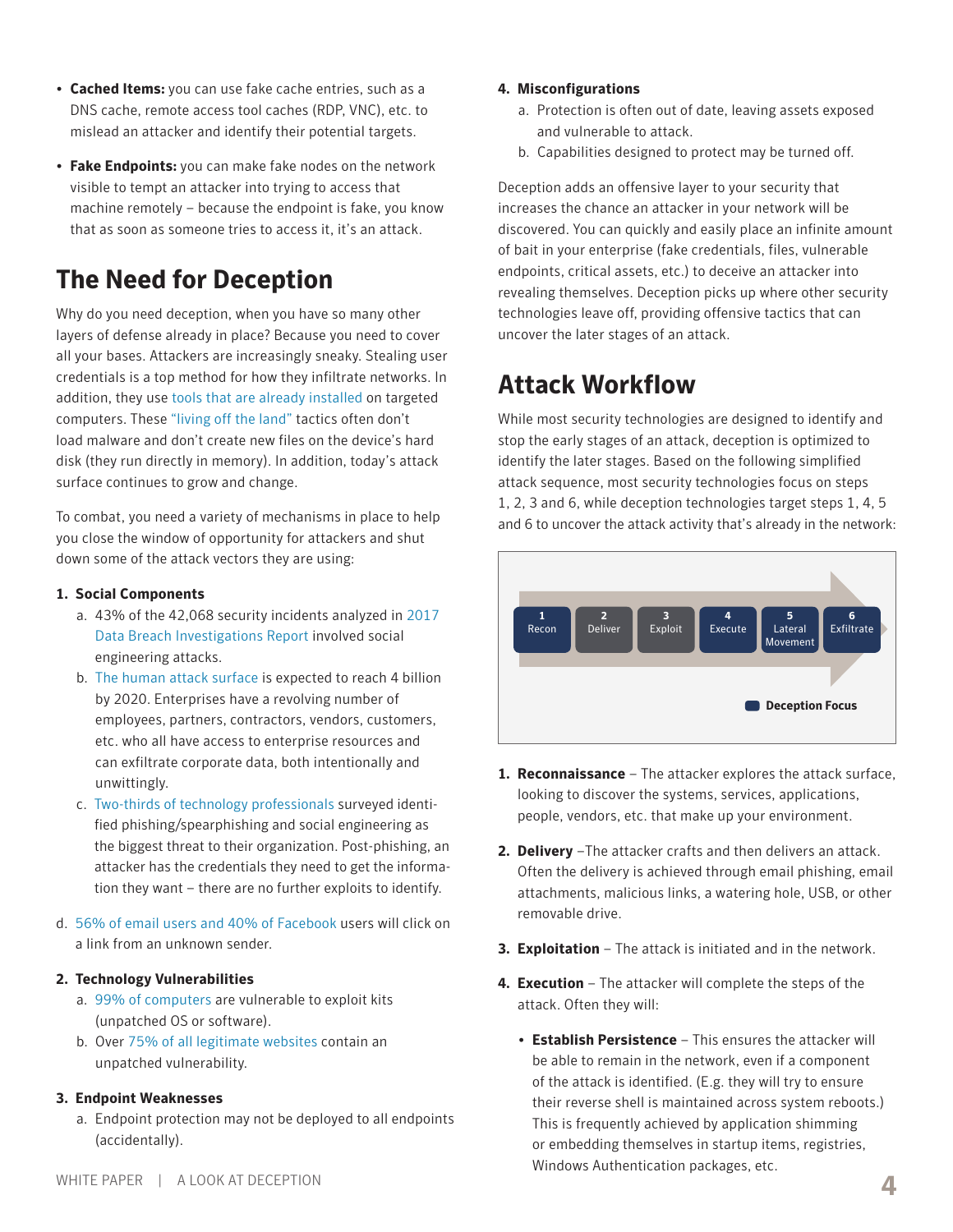- a. Endpoint protection may not be deployed to all endpoints (accidentally).
	- **4** WHITE PAPER | A LOOK AT DECEPTION
- 
- **Cached Items:** you can use fake cache entries, such as a DNS cache, remote access tool caches (RDP, VNC), etc. to mislead an attacker and identify their potential targets.
- **Fake Endpoints:** you can make fake nodes on the network visible to tempt an attacker into trying to access that machine remotely – because the endpoint is fake, you know that as soon as someone tries to access it, it's an attack.

# **The Need for Deception**

Why do you need deception, when you have so many other layers of defense already in place? Because you need to cover all your bases. Attackers are increasingly sneaky. Stealing user credentials is a top method for how they infiltrate networks. In addition, they use [tools that are already installed](https://www.symantec.com/connect/blogs/attackers-are-increasingly-living-land) on targeted computers. These ["living off the land"](https://www.symantec.com/connect/blogs/attackers-are-increasingly-living-land) tactics often don't load malware and don't create new files on the device's hard disk (they run directly in memory). In addition, today's attack surface continues to grow and change.

To combat, you need a variety of mechanisms in place to help you close the window of opportunity for attackers and shut down some of the attack vectors they are using:

#### **1. Social Components**

- a. 43% of the 42,068 security incidents analyzed in [2017](https://www.social-engineer.com/2017-verizon-dbir-social-engineering-breakdown/)  [Data Breach Investigations Report](https://www.social-engineer.com/2017-verizon-dbir-social-engineering-breakdown/) involved social engineering attacks.
- b. [The human attack surface](http://www.csoonline.com/article/3149510/security/the-human-attack-surface-counting-it-all-up.html) is expected to reach 4 billion by 2020. Enterprises have a revolving number of employees, partners, contractors, vendors, customers, etc. who all have access to enterprise resources and can exfiltrate corporate data, both intentionally and unwittingly.
- c. [Two-thirds of technology professionals](https://techbeacon.com/38-cybersecurity-stats-matter-most) surveyed identified phishing/spearphishing and social engineering as the biggest threat to their organization. Post-phishing, an attacker has the credentials they need to get the information they want – there are no further exploits to identify.
- d. [56% of email users and 40% of Facebook](https://siliconangle.com/blog/2016/09/01/phishing-study-shows-more-than-half-of-people-still-click-risky-links/) users will click on a link from an unknown sender.

#### **2. Technology Vulnerabilities**

- a. [99% of computers](https://heimdalsecurity.com/blog/10-surprising-cyber-security-facts-that-may-affect-your-online-safety/) are vulnerable to exploit kits (unpatched OS or software).
- b. Over [75% of all legitimate websites](https://www.symantec.com/content/dam/symantec/docs/reports/istr-21-2016-en.pdf) contain an unpatched vulnerability.

#### **3. Endpoint Weaknesses**

- **4. Misconfigurations**
	- a. Protection is often out of date, leaving assets exposed and vulnerable to attack.
	- b. Capabilities designed to protect may be turned off.

Deception adds an offensive layer to your security that increases the chance an attacker in your network will be discovered. You can quickly and easily place an infinite amount of bait in your enterprise (fake credentials, files, vulnerable endpoints, critical assets, etc.) to deceive an attacker into revealing themselves. Deception picks up where other security technologies leave off, providing offensive tactics that can uncover the later stages of an attack.

## **Attack Workflow**

While most security technologies are designed to identify and stop the early stages of an attack, deception is optimized to identify the later stages. Based on the following simplified attack sequence, most security technologies focus on steps 1, 2, 3 and 6, while deception technologies target steps 1, 4, 5 and 6 to uncover the attack activity that's already in the network:



- **1. Reconnaissance** The attacker explores the attack surface, looking to discover the systems, services, applications, people, vendors, etc. that make up your environment.
- **2. Delivery** –The attacker crafts and then delivers an attack. Often the delivery is achieved through email phishing, email attachments, malicious links, a watering hole, USB, or other removable drive.
- **3. Exploitation** The attack is initiated and in the network.
- **4. Execution** The attacker will complete the steps of the attack. Often they will:
	- **Establish Persistence** This ensures the attacker will be able to remain in the network, even if a component of the attack is identified. (E.g. they will try to ensure their reverse shell is maintained across system reboots.) This is frequently achieved by application shimming or embedding themselves in startup items, registries, Windows Authentication packages, etc.